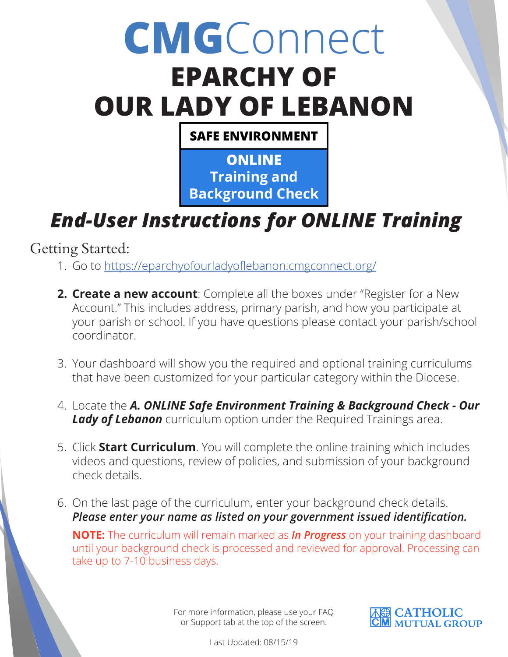## **CMGConnect EPARCHY OF OUR LADY OF LEBANON**

**SAFE ENVIRONMENT** 

**ONLINE Training and Background Check** 

## *End-User Instructions for ONLINE Training*

Getting Started:

- 1. Go to https://eparchyofourladyoflebanon.cmgconnect.org/
- **2. Create a new account**: Complete all the boxes under "Register for a New Account." This includes address, primary parish, and how you participate at your parish or school. If you have questions please contact your parish/school coordinator.
- 3. Your dashboard will show you the required and optional training curriculums that have been customized for your particular category within the Diocese.
- 4. Locate the *A. ONLINE Safe Environment Training & Background Check Our*  **Lady of Lebanon** curriculum option under the Required Trainings area.
- 5. Click **Start Curriculum**. You will complete the online training which includes videos and questions, review of policies, and submission of your background check details.
- 6. On the last page of the curriculum, enter your background check details. *Please enter your name as listed on your government issued identification.*

**NOTE:** The curriculum will remain marked as *In Progress* on your training dashboard until your background check is processed and reviewed for approval. Processing can take up to 7-10 business days.

> For more information, please use your FAQ or Support tab at the top of the screen.



Last Updated: 08/15/19